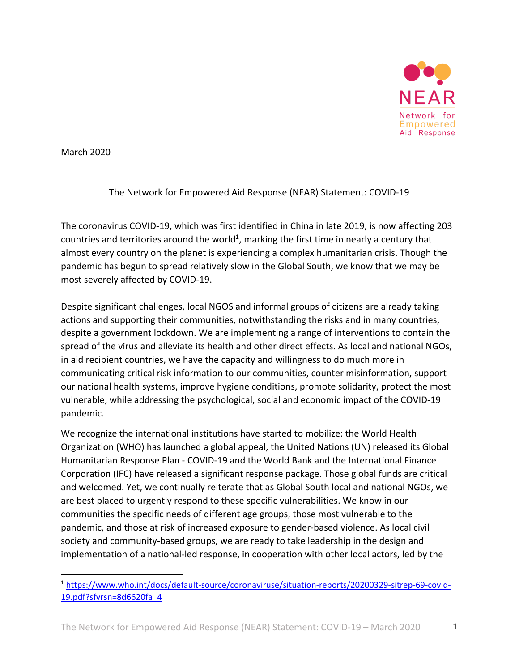

March 2020

## The Network for Empowered Aid Response (NEAR) Statement: COVID-19

The coronavirus COVID-19, which was first identified in China in late 2019, is now affecting 203 countries and territories around the world<sup>1</sup>, marking the first time in nearly a century that almost every country on the planet is experiencing a complex humanitarian crisis. Though the pandemic has begun to spread relatively slow in the Global South, we know that we may be most severely affected by COVID-19.

Despite significant challenges, local NGOS and informal groups of citizens are already taking actions and supporting their communities, notwithstanding the risks and in many countries, despite a government lockdown. We are implementing a range of interventions to contain the spread of the virus and alleviate its health and other direct effects. As local and national NGOs, in aid recipient countries, we have the capacity and willingness to do much more in communicating critical risk information to our communities, counter misinformation, support our national health systems, improve hygiene conditions, promote solidarity, protect the most vulnerable, while addressing the psychological, social and economic impact of the COVID-19 pandemic.

We recognize the international institutions have started to mobilize: the World Health Organization (WHO) has launched a global appeal, the United Nations (UN) released its Global Humanitarian Response Plan - COVID-19 and the World Bank and the International Finance Corporation (IFC) have released a significant response package. Those global funds are critical and welcomed. Yet, we continually reiterate that as Global South local and national NGOs, we are best placed to urgently respond to these specific vulnerabilities. We know in our communities the specific needs of different age groups, those most vulnerable to the pandemic, and those at risk of increased exposure to gender-based violence. As local civil society and community-based groups, we are ready to take leadership in the design and implementation of a national-led response, in cooperation with other local actors, led by the

<sup>1</sup> https://www.who.int/docs/default-source/coronaviruse/situation-reports/20200329-sitrep-69-covid-19.pdf?sfvrsn=8d6620fa\_4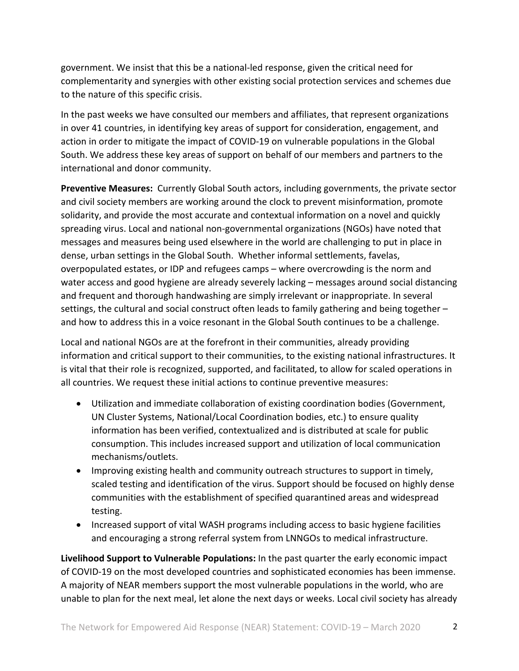government. We insist that this be a national-led response, given the critical need for complementarity and synergies with other existing social protection services and schemes due to the nature of this specific crisis.

In the past weeks we have consulted our members and affiliates, that represent organizations in over 41 countries, in identifying key areas of support for consideration, engagement, and action in order to mitigate the impact of COVID-19 on vulnerable populations in the Global South. We address these key areas of support on behalf of our members and partners to the international and donor community.

**Preventive Measures:** Currently Global South actors, including governments, the private sector and civil society members are working around the clock to prevent misinformation, promote solidarity, and provide the most accurate and contextual information on a novel and quickly spreading virus. Local and national non-governmental organizations (NGOs) have noted that messages and measures being used elsewhere in the world are challenging to put in place in dense, urban settings in the Global South. Whether informal settlements, favelas, overpopulated estates, or IDP and refugees camps – where overcrowding is the norm and water access and good hygiene are already severely lacking – messages around social distancing and frequent and thorough handwashing are simply irrelevant or inappropriate. In several settings, the cultural and social construct often leads to family gathering and being together – and how to address this in a voice resonant in the Global South continues to be a challenge.

Local and national NGOs are at the forefront in their communities, already providing information and critical support to their communities, to the existing national infrastructures. It is vital that their role is recognized, supported, and facilitated, to allow for scaled operations in all countries. We request these initial actions to continue preventive measures:

- Utilization and immediate collaboration of existing coordination bodies (Government, UN Cluster Systems, National/Local Coordination bodies, etc.) to ensure quality information has been verified, contextualized and is distributed at scale for public consumption. This includes increased support and utilization of local communication mechanisms/outlets.
- Improving existing health and community outreach structures to support in timely, scaled testing and identification of the virus. Support should be focused on highly dense communities with the establishment of specified quarantined areas and widespread testing.
- Increased support of vital WASH programs including access to basic hygiene facilities and encouraging a strong referral system from LNNGOs to medical infrastructure.

**Livelihood Support to Vulnerable Populations:** In the past quarter the early economic impact of COVID-19 on the most developed countries and sophisticated economies has been immense. A majority of NEAR members support the most vulnerable populations in the world, who are unable to plan for the next meal, let alone the next days or weeks. Local civil society has already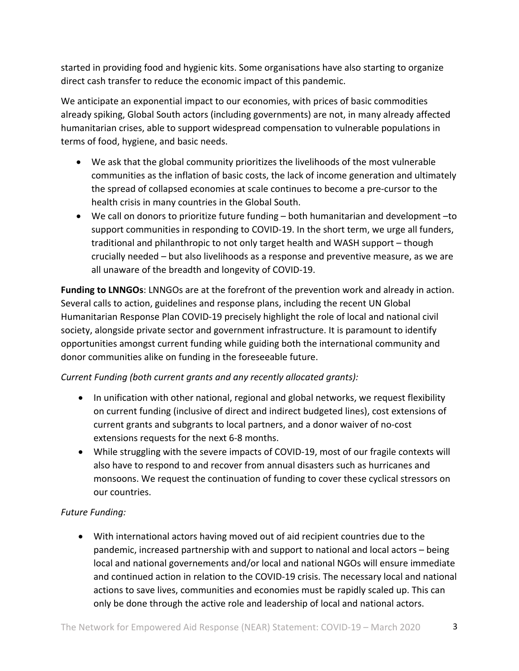started in providing food and hygienic kits. Some organisations have also starting to organize direct cash transfer to reduce the economic impact of this pandemic.

We anticipate an exponential impact to our economies, with prices of basic commodities already spiking, Global South actors (including governments) are not, in many already affected humanitarian crises, able to support widespread compensation to vulnerable populations in terms of food, hygiene, and basic needs.

- We ask that the global community prioritizes the livelihoods of the most vulnerable communities as the inflation of basic costs, the lack of income generation and ultimately the spread of collapsed economies at scale continues to become a pre-cursor to the health crisis in many countries in the Global South.
- We call on donors to prioritize future funding both humanitarian and development –to support communities in responding to COVID-19. In the short term, we urge all funders, traditional and philanthropic to not only target health and WASH support – though crucially needed – but also livelihoods as a response and preventive measure, as we are all unaware of the breadth and longevity of COVID-19.

**Funding to LNNGOs**: LNNGOs are at the forefront of the prevention work and already in action. Several calls to action, guidelines and response plans, including the recent UN Global Humanitarian Response Plan COVID-19 precisely highlight the role of local and national civil society, alongside private sector and government infrastructure. It is paramount to identify opportunities amongst current funding while guiding both the international community and donor communities alike on funding in the foreseeable future.

## *Current Funding (both current grants and any recently allocated grants):*

- In unification with other national, regional and global networks, we request flexibility on current funding (inclusive of direct and indirect budgeted lines), cost extensions of current grants and subgrants to local partners, and a donor waiver of no-cost extensions requests for the next 6-8 months.
- While struggling with the severe impacts of COVID-19, most of our fragile contexts will also have to respond to and recover from annual disasters such as hurricanes and monsoons. We request the continuation of funding to cover these cyclical stressors on our countries.

## *Future Funding:*

• With international actors having moved out of aid recipient countries due to the pandemic, increased partnership with and support to national and local actors – being local and national governements and/or local and national NGOs will ensure immediate and continued action in relation to the COVID-19 crisis. The necessary local and national actions to save lives, communities and economies must be rapidly scaled up. This can only be done through the active role and leadership of local and national actors.